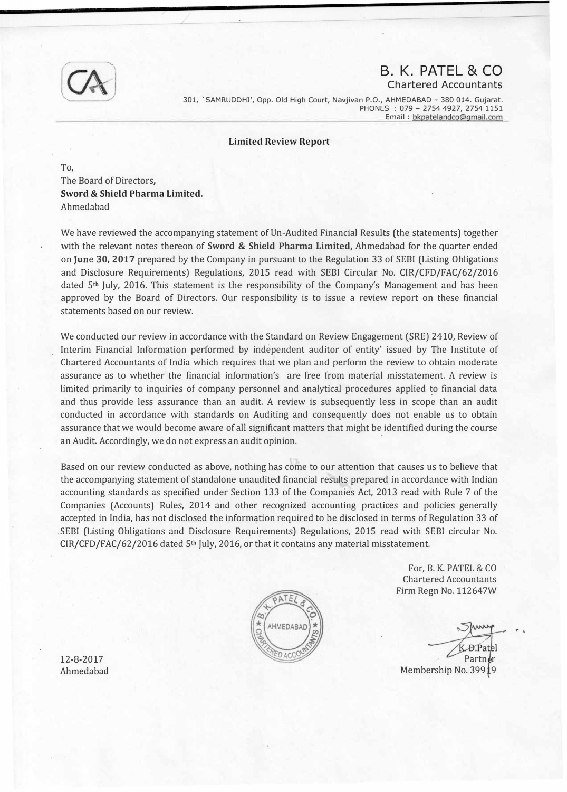

## B. K. PATEL & CO Chartered Accountants

301, 'SAMRUDDHI', Opp. Old High Court, Navjivan P.O., AHMEDABAD - 380 014. Gujarat. PHONES : 079- 2754 4927, 2754 1151 Email : bkpatelandco@gmail.com

Limited Review Report

To, The Board of Directors, Sword & Shield Pharma Limited. Ahmedabad

We have reviewed the accompanying statement of Un-Audited Financial Results (the statements) together with the relevant notes thereon of **Sword & Shield Pharma Limited,** Ahmedabad for the quarter ended on June 30, 2017 prepared by the Company in pursuant to the Regulation 33 of SEBI (Listing Obligations and Disclosure Requirements) Regulations, 2015 read with SEBI Circular No. CIR/CFD/FAC/62/2016 dated  $5<sup>th</sup>$  July, 2016. This statement is the responsibility of the Company's Management and has been approved by the Board of Directors. Our responsibility is to issue a review report on these financial statements based on our review.

We conducted our review in accordance with the Standard on Review Engagement (SRE) 2410, Review of Interim Financial Information performed by independent auditor of entity' issued by The Institute of Chartered Accountants of India which requires that we plan and perform the review to obtain moderate assurance as to whether the financial information's are free from material misstatement. A review is limited primarily to inquiries of company personnel and analytical procedures applied �o financial data and thus provide less assurance than an audit. A review is subsequently less in scope than an audit conducted in accordance with standards on Auditing and consequently does not enable us to obtain assurance that we would become aware of all significant matters that might be identified during the course an Audit. Accordingly, we do not express an audit opinion.

Based on our review conducted as above, nothing has come to our attention that causes us to believe that the accompanying statement of standalone unaudited financial results prepared in accordance with Indian accounting standards as specified under Section 133 of the Companies Act, 2013 read with Rule 7 of the Companies (Accounts) Rules, 2014 and other recognized accounting practices and policies generally accepted in India, has not disclosed the information required to be disclosed in terms of Regulation 33 of .SEBI (Listing Obligations and Disclosure Requirements) Regulations, 2015 read with SEBI circular No.  $CIR/CFD/FAC/62/2016$  dated 5<sup>th</sup> July, 2016, or that it contains any material misstatement.



For, B. K. PATEL & CO Chartered Accountants Firm Regn No. 112647W

Partn Membership No. 3991

12-8-2017 Ahmedabad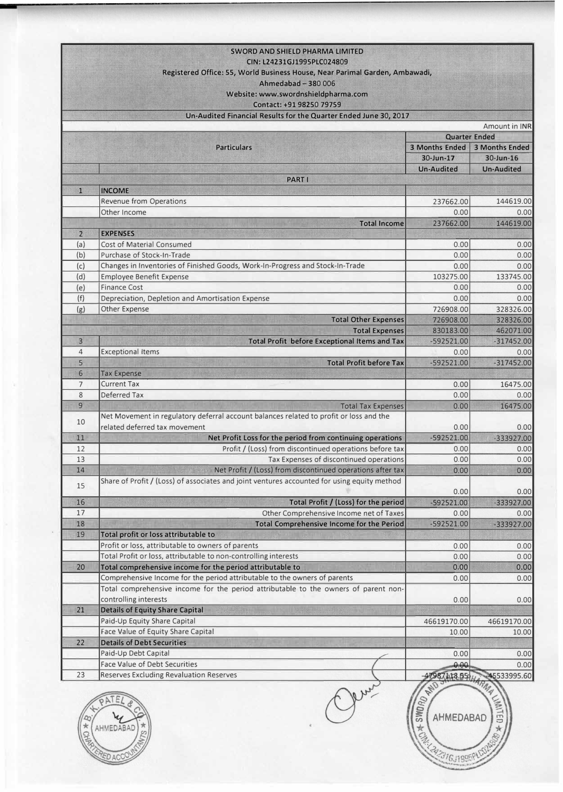|                            | <b>SWORD AND SHIELD PHARMA LIMITED</b>                                                                                  |                           |                                                                      |  |  |  |
|----------------------------|-------------------------------------------------------------------------------------------------------------------------|---------------------------|----------------------------------------------------------------------|--|--|--|
| CIN: L24231GJ1995PLC024809 |                                                                                                                         |                           |                                                                      |  |  |  |
|                            | Registered Office: 55, World Business House, Near Parimal Garden, Ambawadi,                                             |                           |                                                                      |  |  |  |
|                            | Ahmedabad - 380 006                                                                                                     |                           |                                                                      |  |  |  |
|                            | Website: www.swordnshieldpharma.com                                                                                     |                           |                                                                      |  |  |  |
|                            | Contact: +91 98250 79759                                                                                                |                           |                                                                      |  |  |  |
|                            | Un-Audited Financial Results for the Quarter Ended June 30, 2017                                                        |                           |                                                                      |  |  |  |
|                            |                                                                                                                         |                           | Amount in <b>INR</b>                                                 |  |  |  |
|                            |                                                                                                                         | <b>Quarter Ended</b>      |                                                                      |  |  |  |
|                            | <b>Particulars</b>                                                                                                      | 3 Months Ended            | <b>3 Months Ended</b>                                                |  |  |  |
|                            |                                                                                                                         | 30-Jun-17                 | $30$ -Jun-16                                                         |  |  |  |
|                            |                                                                                                                         | <b>Un-Audited</b>         | <b>Un-Audited</b>                                                    |  |  |  |
|                            | <b>PART I</b>                                                                                                           |                           |                                                                      |  |  |  |
| $\mathbf{1}$               | <b>INCOME</b>                                                                                                           |                           |                                                                      |  |  |  |
|                            | <b>Revenue from Operations</b>                                                                                          | 237662.00                 | 144619.00                                                            |  |  |  |
|                            | Other Income                                                                                                            | 0.00                      | 0.00                                                                 |  |  |  |
|                            | <b>Total Income</b>                                                                                                     | 237662.00                 | 144619.00                                                            |  |  |  |
| $\overline{2}$             | <b>EXPENSES</b>                                                                                                         |                           |                                                                      |  |  |  |
| (a)                        | <b>Cost of Material Consumed</b>                                                                                        | 0.00                      | 0.00                                                                 |  |  |  |
| (b)                        | Purchase of Stock-In-Trade                                                                                              | 0.00                      | 0.00                                                                 |  |  |  |
| (c)                        | Changes in Inventories of Finished Goods, Work-In-Progress and Stock-In-Trade                                           | 0.00                      | 0.00                                                                 |  |  |  |
| (d)                        | <b>Employee Benefit Expense</b>                                                                                         | 103275.00                 | 133745.00                                                            |  |  |  |
| (e)                        | <b>Finance Cost</b>                                                                                                     | 0.00                      | 0.00                                                                 |  |  |  |
| (f)                        |                                                                                                                         | 0.00                      | 0.00                                                                 |  |  |  |
|                            | Depreciation, Depletion and Amortisation Expense                                                                        | 726908.00                 | 328326.00                                                            |  |  |  |
| (g)                        | Other Expense                                                                                                           | 726908.00                 |                                                                      |  |  |  |
|                            | <b>Total Other Expenses</b>                                                                                             |                           | 328326.00                                                            |  |  |  |
| 3                          | <b>Total Expenses</b>                                                                                                   | 830183.00<br>$-592521.00$ | 462071.00                                                            |  |  |  |
| $\overline{4}$             | <b>Total Profit before Exceptional Items and Tax</b><br><b>Exceptional Items</b>                                        |                           | $-317452.00$                                                         |  |  |  |
| 5                          | <b>Total Profit before Tax</b>                                                                                          | 0.00<br>$-592521.00$      | 0.00<br>$-317452.00$                                                 |  |  |  |
|                            |                                                                                                                         |                           |                                                                      |  |  |  |
| 6                          | <b>Tax Expense</b>                                                                                                      |                           |                                                                      |  |  |  |
| $\overline{7}$             | <b>Current Tax</b>                                                                                                      | 0.00                      | 16475.00                                                             |  |  |  |
| 8                          | Deferred Tax                                                                                                            | 0.00                      | 0.00                                                                 |  |  |  |
| 9                          | <b>Total Tax Expenses</b>                                                                                               | 0.00                      | 16475.00                                                             |  |  |  |
| 10                         | Net Movement in regulatory deferral account balances related to profit or loss and the<br>related deferred tax movement |                           |                                                                      |  |  |  |
| 11                         |                                                                                                                         | 0.00                      | 0.00<br>$-333927.00$                                                 |  |  |  |
| 12                         | Net Profit Loss for the period from continuing operations<br>Profit / (Loss) from discontinued operations before tax    | $-592521.00$              |                                                                      |  |  |  |
|                            |                                                                                                                         | 0.00                      | 0.00                                                                 |  |  |  |
| 13                         | Tax Expenses of discontinued operations                                                                                 | 0.00                      | 0.00                                                                 |  |  |  |
| 14                         | Net Profit / (Loss) from discontinued operations after tax                                                              | 0.00                      | 0.00                                                                 |  |  |  |
| 15                         | Share of Profit / (Loss) of associates and joint ventures accounted for using equity method                             |                           |                                                                      |  |  |  |
| 16                         |                                                                                                                         | 0.00                      | 0.00                                                                 |  |  |  |
|                            | Total Profit / (Loss) for the period                                                                                    | $-592521.00$              | $-333927.00$                                                         |  |  |  |
|                            |                                                                                                                         |                           |                                                                      |  |  |  |
| 17                         | Other Comprehensive Income net of Taxes                                                                                 | 0.00                      |                                                                      |  |  |  |
| 18                         | Total Comprehensive Income for the Period                                                                               | $-592521.00$              |                                                                      |  |  |  |
| 19                         | Total profit or loss attributable to                                                                                    |                           | 0.00<br>-333927.00                                                   |  |  |  |
|                            | Profit or loss, attributable to owners of parents                                                                       | 0.00                      |                                                                      |  |  |  |
|                            | Total Profit or loss, attributable to non-controlling interests                                                         | 0.00                      |                                                                      |  |  |  |
| 20                         | Total comprehensive income for the period attributable to                                                               | 0.00                      |                                                                      |  |  |  |
|                            | Comprehensive Income for the period attributable to the owners of parents                                               | 0.00                      |                                                                      |  |  |  |
|                            | Total comprehensive income for the period attributable to the owners of parent non-                                     |                           |                                                                      |  |  |  |
|                            | controlling interests                                                                                                   | 0.00                      |                                                                      |  |  |  |
| 21                         | <b>Details of Equity Share Capital</b>                                                                                  |                           |                                                                      |  |  |  |
|                            | Paid-Up Equity Share Capital                                                                                            | 46619170.00               |                                                                      |  |  |  |
|                            | Face Value of Equity Share Capital                                                                                      | 10.00                     |                                                                      |  |  |  |
| 22                         | <b>Details of Debt Securities</b>                                                                                       |                           |                                                                      |  |  |  |
|                            | Paid-Up Debt Capital                                                                                                    | 0.00                      | 0.00<br>0.00<br>0.00<br>0.00<br>0.00<br>46619170.00<br>10.00<br>0.00 |  |  |  |
| 23                         | <b>Face Value of Debt Securities</b><br><b>Reserves Excluding Revaluation Reserves</b>                                  | 0.00.<br>87118.55         | 0.00<br>45533995.60                                                  |  |  |  |



EN AHMEDABAD \* /\* /\* /\* / W.247316.J1996PL000 **WASHINGTON** .... ...

 $\bigcirc$